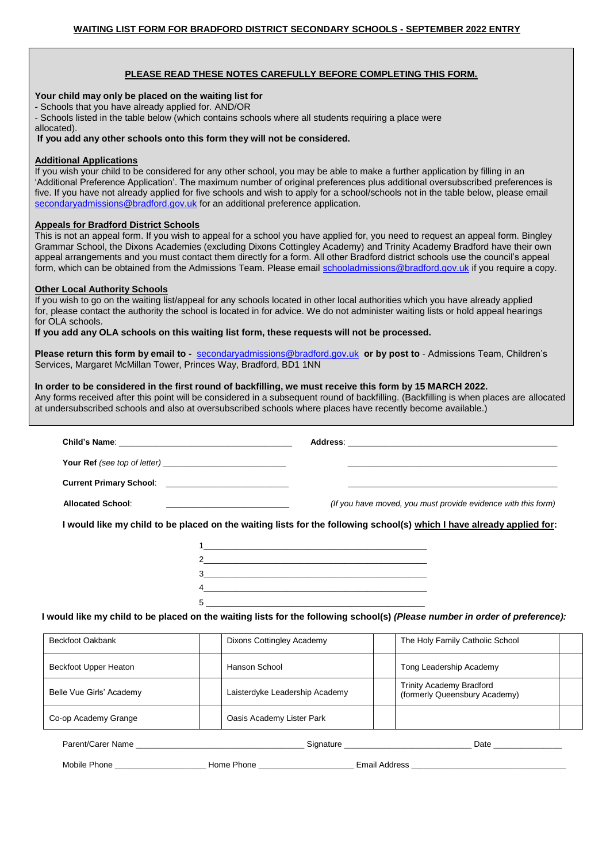## **PLEASE READ THESE NOTES CAREFULLY BEFORE COMPLETING THIS FORM.**

# **Your child may only be placed on the waiting list for**

**-** Schools that you have already applied for. AND/OR

- Schools listed in the table below (which contains schools where all students requiring a place were

allocated).

**If you add any other schools onto this form they will not be considered.** 

## **Additional Applications**

If you wish your child to be considered for any other school, you may be able to make a further application by filling in an 'Additional Preference Application'. The maximum number of original preferences plus additional oversubscribed preferences is five. If you have not already applied for five schools and wish to apply for a school/schools not in the table below, please email secondaryadmissions@bradford.gov.uk for an additional preference application.

# **Appeals for Bradford District Schools**

This is not an appeal form. If you wish to appeal for a school you have applied for, you need to request an appeal form. Bingley Grammar School, the Dixons Academies (excluding Dixons Cottingley Academy) and Trinity Academy Bradford have their own appeal arrangements and you must contact them directly for a form. All other Bradford district schools use the council's appeal form, which can be obtained from the Admissions Team. Please email schooladmissions@bradford.gov.uk if you require a copy.

#### **Other Local Authority Schools**

If you wish to go on the waiting list/appeal for any schools located in other local authorities which you have already applied for, please contact the authority the school is located in for advice. We do not administer waiting lists or hold appeal hearings for OLA schools.

**If you add any OLA schools on this waiting list form, these requests will not be processed.** 

Belle Vue Girls' Academy **Laisterdyke Leadership Academy** 

Co-op Academy Grange Co-op Academy Grange

**Please return this form by email to -** secondaryadmissions@bradford.gov.uk **or by post to** - Admissions Team, Children's Services, Margaret McMillan Tower, Princes Way, Bradford, BD1 1NN

# **In order to be considered in the first round of backfilling, we must receive this form by 15 MARCH 2022.**

Any forms received after this point will be considered in a subsequent round of backfilling. (Backfilling is when places are allocated at undersubscribed schools and also at oversubscribed schools where places have recently become available.)

|                                                        |               |                           | the control of the control of the control of the control of the control of the control of                                   |  |  |  |  |
|--------------------------------------------------------|---------------|---------------------------|-----------------------------------------------------------------------------------------------------------------------------|--|--|--|--|
| Current Primary School: ______________________________ |               |                           | the control of the control of the control of the control of the control of the control of                                   |  |  |  |  |
| <b>Allocated School:</b>                               |               |                           | (If you have moved, you must provide evidence with this form)                                                               |  |  |  |  |
|                                                        |               |                           | I would like my child to be placed on the waiting lists for the following school(s) which I have already applied for:       |  |  |  |  |
|                                                        |               |                           |                                                                                                                             |  |  |  |  |
|                                                        |               |                           |                                                                                                                             |  |  |  |  |
|                                                        |               |                           |                                                                                                                             |  |  |  |  |
|                                                        |               | 4                         |                                                                                                                             |  |  |  |  |
|                                                        |               |                           |                                                                                                                             |  |  |  |  |
|                                                        |               |                           | I would like my child to be placed on the waiting lists for the following school(s) (Please number in order of preference). |  |  |  |  |
| <b>Beckfoot Oakbank</b>                                |               | Dixons Cottingley Academy | The Holy Family Catholic School                                                                                             |  |  |  |  |
| Beckfoot Upper Heaton                                  | Hanson School |                           | Tong Leadership Academy                                                                                                     |  |  |  |  |
|                                                        |               |                           | <b>Trinity Academy Bradford</b>                                                                                             |  |  |  |  |

Parent/Carer Name \_\_\_\_\_\_\_\_\_\_\_\_\_\_\_\_\_\_\_\_\_\_\_\_\_\_\_\_\_\_\_\_\_\_\_\_\_ Signature \_\_\_\_\_\_\_\_\_\_\_\_\_\_\_\_\_\_\_\_\_\_\_\_\_\_\_\_ Date \_\_\_\_\_\_\_\_\_\_\_\_\_\_\_ Mobile Phone \_\_\_\_\_\_\_\_\_\_\_\_\_\_\_\_\_\_\_\_ Home Phone \_\_\_\_\_\_\_\_\_\_\_\_\_\_\_\_\_\_\_\_\_ Email Address \_\_\_\_\_\_\_\_\_\_\_\_\_\_\_\_\_\_\_\_\_\_\_\_\_\_\_\_\_\_\_\_\_\_

(formerly Queensbury Academy)